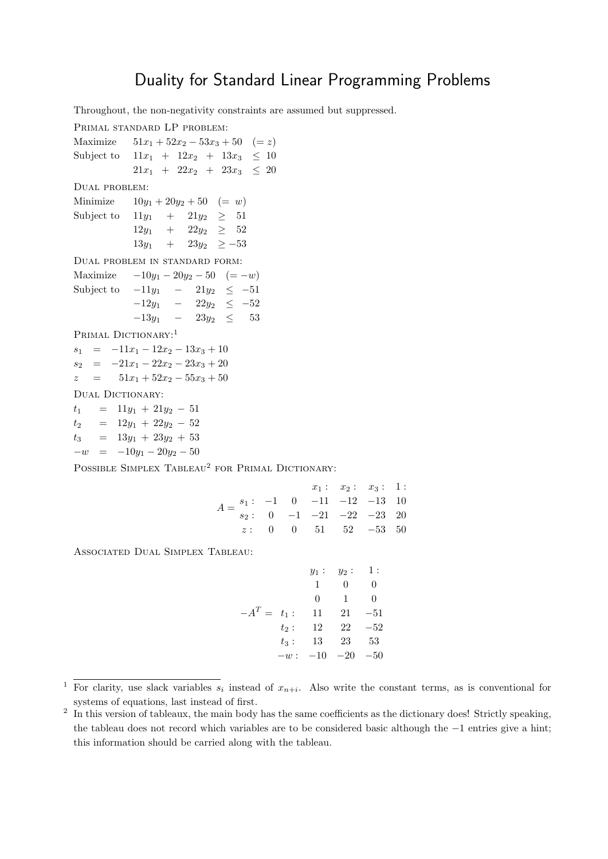## Duality for Standard Linear Programming Problems

Throughout, the non-negativity constraints are assumed but suppressed.

Primal standard LP problem: Maximize  $51x_1 + 52x_2 - 53x_3 + 50 \quad (= z)$ Subject to  $11x_1 + 12x_2 + 13x_3 \leq 10$  $21x_1 + 22x_2 + 23x_3 \leq 20$ Dual problem: Minimize  $10y_1 + 20y_2 + 50 = w$ Subject to  $11y_1 + 21y_2 \geq 51$  $12y_1 + 22y_2 \geq 52$  $13y_1$  +  $23y_2$  >  $-53$ Dual problem in standard form: Maximize  $-10y_1 - 20y_2 - 50 \quad (= -w)$ Subject to  $-11y_1 - 21y_2 \le -51$  $-12y_1$  –  $22y_2 \leq -52$  $-13y_1$  −  $23y_2 \leq 53$ PRIMAL DICTIONARY:<sup>1</sup>  $s_1 = -11x_1 - 12x_2 - 13x_3 + 10$  $s_2 = -21x_1 - 22x_2 - 23x_3 + 20$  $z = 51x_1 + 52x_2 - 55x_3 + 50$ DUAL DICTIONARY:  $t_1$  = 11 $y_1$  + 21 $y_2$  – 51  $t_2$  =  $12y_1 + 22y_2 - 52$  $t_3 = 13y_1 + 23y_2 + 53$  $-w = -10y_1 - 20y_2 - 50$ 

POSSIBLE SIMPLEX TABLEAU<sup>2</sup> FOR PRIMAL DICTIONARY:

|                                                                                                                    |  |                                                                                         | $x_1: x_2: x_3: 1:$ |  |
|--------------------------------------------------------------------------------------------------------------------|--|-----------------------------------------------------------------------------------------|---------------------|--|
| $A = \begin{pmatrix} s_1 : & -1 & 0 & -11 & -12 & -13 & 10 \\ s_2 : & 0 & -1 & -21 & -22 & -23 & 20 \end{pmatrix}$ |  |                                                                                         |                     |  |
|                                                                                                                    |  |                                                                                         |                     |  |
|                                                                                                                    |  | $z: \quad 0 \quad \quad 0 \quad \quad 51 \quad \quad 52 \quad \quad -53 \quad \quad 50$ |                     |  |

Associated Dual Simplex Tableau:

|                |         | $y_1$ : | $y_2$ : | 1:       |
|----------------|---------|---------|---------|----------|
|                |         | 1       | 0       | 0        |
|                |         | 0       | 1       | $\Omega$ |
| $-A^T = t_1$ : |         | 11      | 21      | $-51$    |
|                | $t_2$ : | 12      | 22      | $-52$    |
|                | $t_3$ : | 13      | 23      | 53       |
|                | $-w:$   | $-10$   | $-20$   | $-50\,$  |

<sup>&</sup>lt;sup>1</sup> For clarity, use slack variables  $s_i$  instead of  $x_{n+i}$ . Also write the constant terms, as is conventional for systems of equations, last instead of first.

<sup>&</sup>lt;sup>2</sup> In this version of tableaux, the main body has the same coefficients as the dictionary does! Strictly speaking, the tableau does not record which variables are to be considered basic although the −1 entries give a hint; this information should be carried along with the tableau.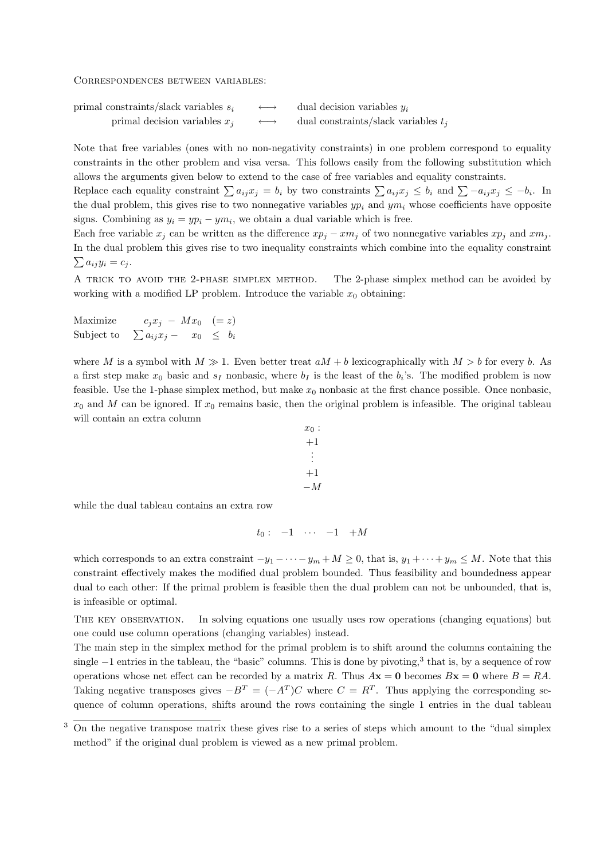Correspondences between variables:

primal constraints/slack variables  $s_i \longrightarrow$  dual decision variables  $y_i$ primal decision variables  $x_j \longrightarrow$  dual constraints/slack variables  $t_j$ 

Note that free variables (ones with no non-negativity constraints) in one problem correspond to equality constraints in the other problem and visa versa. This follows easily from the following substitution which allows the arguments given below to extend to the case of free variables and equality constraints.

Replace each equality constraint  $\sum a_{ij}x_j = b_i$  by two constraints  $\sum a_{ij}x_j \leq b_i$  and  $\sum -a_{ij}x_j \leq -b_i$ . In the dual problem, this gives rise to two nonnegative variables  $yp_i$  and  $ym_i$  whose coefficients have opposite signs. Combining as  $y_i = yp_i - ym_i$ , we obtain a dual variable which is free.

Each free variable  $x_j$  can be written as the difference  $xp_j - xm_j$  of two nonnegative variables  $xp_j$  and  $xm_j$ . In the dual problem this gives rise to two inequality constraints which combine into the equality constraint  $\sum a_{ij}y_i = c_j.$ 

A TRICK TO AVOID THE 2-PHASE SIMPLEX METHOD. The 2-phase simplex method can be avoided by working with a modified LP problem. Introduce the variable  $x_0$  obtaining:

Maximize  $c_j x_j - M x_0 \quad (= z)$ Subject to  $\sum a_{ij}x_j - x_0 \leq b_i$ 

where M is a symbol with  $M \gg 1$ . Even better treat  $aM + b$  lexicographically with  $M > b$  for every b. As a first step make  $x_0$  basic and  $s_I$  nonbasic, where  $b_I$  is the least of the  $b_i$ 's. The modified problem is now feasible. Use the 1-phase simplex method, but make  $x_0$  nonbasic at the first chance possible. Once nonbasic,  $x_0$  and M can be ignored. If  $x_0$  remains basic, then the original problem is infeasible. The original tableau will contain an extra column

$$
x_0: \\
+1 \\
\vdots \\
+1 \\
-M
$$

while the dual tableau contains an extra row

$$
t_0: \quad -1 \quad \cdots \quad -1 \quad +M
$$

which corresponds to an extra constraint  $-y_1 - \cdots - y_m + M \geq 0$ , that is,  $y_1 + \cdots + y_m \leq M$ . Note that this constraint effectively makes the modified dual problem bounded. Thus feasibility and boundedness appear dual to each other: If the primal problem is feasible then the dual problem can not be unbounded, that is, is infeasible or optimal.

The key observation. In solving equations one usually uses row operations (changing equations) but one could use column operations (changing variables) instead.

The main step in the simplex method for the primal problem is to shift around the columns containing the single −1 entries in the tableau, the "basic" columns. This is done by pivoting,<sup>3</sup> that is, by a sequence of row operations whose net effect can be recorded by a matrix R. Thus  $A\mathbf{x} = \mathbf{0}$  becomes  $B\mathbf{x} = \mathbf{0}$  where  $B = RA$ . Taking negative transposes gives  $-B^T = (-A^T)C$  where  $C = R^T$ . Thus applying the corresponding sequence of column operations, shifts around the rows containing the single 1 entries in the dual tableau

<sup>3</sup> On the negative transpose matrix these gives rise to a series of steps which amount to the "dual simplex method" if the original dual problem is viewed as a new primal problem.